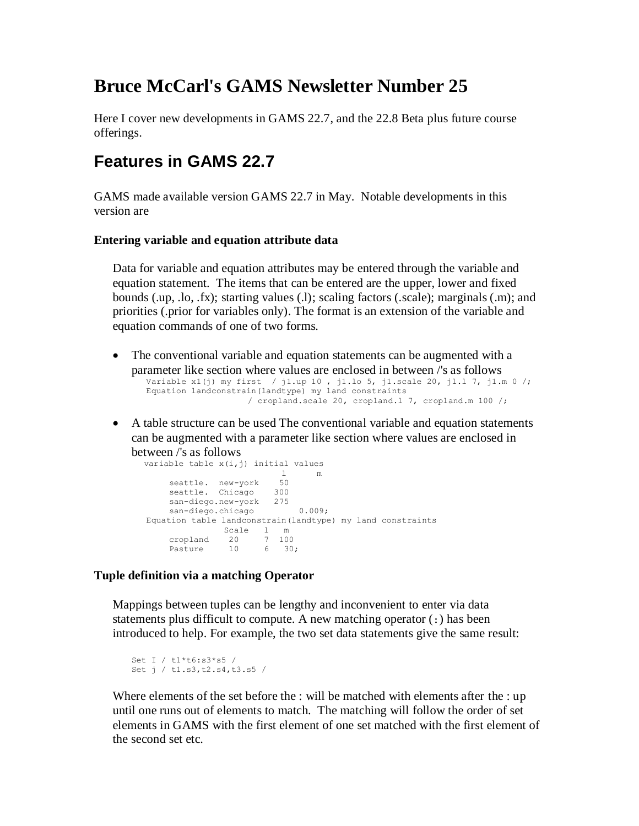## **Bruce McCarl's GAMS Newsletter Number 25**

Here I cover new developments in GAMS 22.7, and the 22.8 Beta plus future course offerings.

### **Features in GAMS 22.7**

GAMS made available version GAMS 22.7 in May. Notable developments in this version are

### **Entering variable and equation attribute data**

Data for variable and equation attributes may be entered through the variable and equation statement. The items that can be entered are the upper, lower and fixed bounds (.up, .lo, .fx); starting values (.l); scaling factors (.scale); marginals (.m); and priorities (.prior for variables only). The format is an extension of the variable and equation commands of one of two forms.

- The conventional variable and equation statements can be augmented with a parameter like section where values are enclosed in between /'s as follows Variable x1(j) my first / j1.up 10 , j1.lo 5, j1.scale 20, jl.l 7, j1.m 0 /; Equation landconstrain(landtype) my land constraints / cropland.scale 20, cropland.l 7, cropland.m 100 /;
- A table structure can be used The conventional variable and equation statements can be augmented with a parameter like section where values are enclosed in between /'s as follows

variable table  $x(i,j)$  initial values<br>  $1 \t m$  l m seattle. new-york 50 seattle. Chicago 300 san-diego.new-york 275 san-diego.chicago 0.009; Equation table landconstrain(landtype) my land constraints Scale l m cropland 20 7 100 Pasture 10 6 30;

### **Tuple definition via a matching Operator**

Mappings between tuples can be lengthy and inconvenient to enter via data statements plus difficult to compute. A new matching operator (:) has been introduced to help. For example, the two set data statements give the same result:

```
Set I / t1*t6:s3*s5 /
Set j / t1.s3,t2.s4,t3.s5 /
```
Where elements of the set before the : will be matched with elements after the : up until one runs out of elements to match. The matching will follow the order of set elements in GAMS with the first element of one set matched with the first element of the second set etc.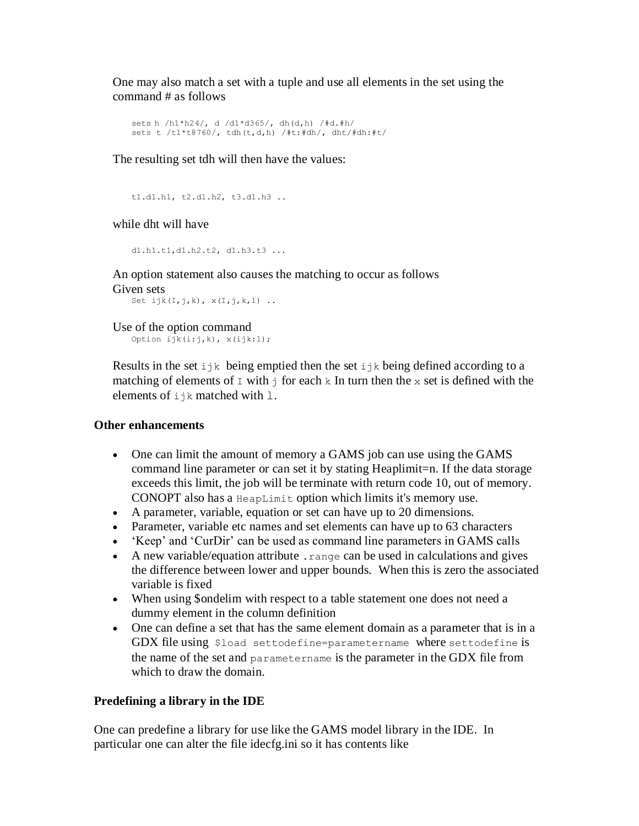One may also match a set with a tuple and use all elements in the set using the command # as follows

```
sets h /h1*h24/, d /d1*d365/, dh(d,h) /#d.#h/
sets t /t1*t8760/, tdh(t,d,h) /#t:#dh/, dht/#dh:#t/
```
The resulting set tdh will then have the values:

```
t1.d1.h1, t2.d1.h2, t3.d1.h3 ..
```
while dht will have

d1.h1.t1,d1.h2.t2, d1.h3.t3 ...

An option statement also causes the matching to occur as follows Given sets

```
Set ijk(I,j,k), x(I,j,k,l).
```

```
Use of the option command 
   Option ijk(i:j,k), x(ijk:l);
```
Results in the set  $ijk$  being emptied then the set  $ijk$  being defined according to a matching of elements of  $\text{I}$  with  $\text{I}$  for each k In turn then the x set is defined with the elements of ijk matched with l.

### **Other enhancements**

- One can limit the amount of memory a GAMS job can use using the GAMS command line parameter or can set it by stating Heaplimit=n. If the data storage exceeds this limit, the job will be terminate with return code 10, out of memory. CONOPT also has a HeapLimit option which limits it's memory use.
- A parameter, variable, equation or set can have up to 20 dimensions.
- Parameter, variable etc names and set elements can have up to 63 characters
- 'Keep' and 'CurDir' can be used as command line parameters in GAMS calls
- A new variable/equation attribute .range can be used in calculations and gives the difference between lower and upper bounds. When this is zero the associated variable is fixed
- When using \$ondelim with respect to a table statement one does not need a dummy element in the column definition
- One can define a set that has the same element domain as a parameter that is in a GDX file using \$load settodefine=parametername where settodefine is the name of the set and parametername is the parameter in the GDX file from which to draw the domain.

### **Predefining a library in the IDE**

One can predefine a library for use like the GAMS model library in the IDE. In particular one can alter the file idecfg.ini so it has contents like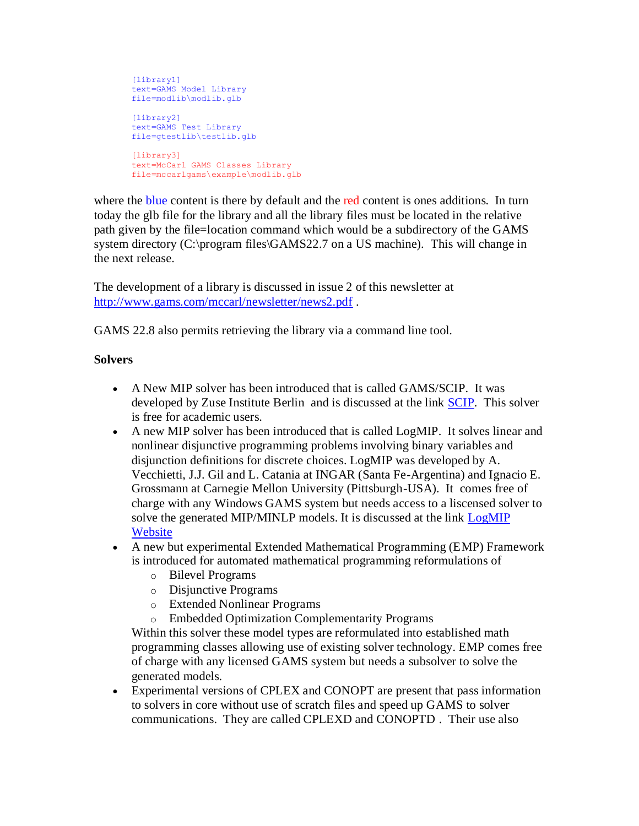```
[library1]
text=GAMS Model Library
file=modlib\modlib.glb
[library2]
text=GAMS Test Library
file=gtestlib\testlib.glb
[library3]
text=McCarl GAMS Classes Library
file=mccarlgams\example\modlib.glb
```
where the blue content is there by default and the red content is ones additions. In turn today the glb file for the library and all the library files must be located in the relative path given by the file=location command which would be a subdirectory of the GAMS system directory (C:\program files\GAMS22.7 on a US machine). This will change in the next release.

The development of a library is discussed in issue 2 of this newsletter at <http://www.gams.com/mccarl/newsletter/news2.pdf> .

GAMS 22.8 also permits retrieving the library via a command line tool.

### **Solvers**

- A New MIP solver has been introduced that is called GAMS/SCIP. It was developed by Zuse Institute Berlin and is discussed at the link [SCIP.](http://scip.zib.de/) This solver is free for academic users.
- A new MIP solver has been introduced that is called LogMIP. It solves linear and nonlinear disjunctive programming problems involving binary variables and disjunction definitions for discrete choices. LogMIP was developed by A. Vecchietti, J.J. Gil and L. Catania at INGAR (Santa Fe-Argentina) and Ignacio E. Grossmann at Carnegie Mellon University (Pittsburgh-USA). It comes free of charge with any Windows GAMS system but needs access to a liscensed solver to solve the generated MIP/MINLP models. It is discussed at the link [LogMIP](http://www.logmip.ceride.gov.ar/)  **[Website](http://www.logmip.ceride.gov.ar/)**
- A new but experimental Extended Mathematical Programming (EMP) Framework is introduced for automated mathematical programming reformulations of
	- o Bilevel Programs
	- o Disjunctive Programs
	- o Extended Nonlinear Programs
	- o Embedded Optimization Complementarity Programs

Within this solver these model types are reformulated into established math programming classes allowing use of existing solver technology. EMP comes free of charge with any licensed GAMS system but needs a subsolver to solve the generated models.

 Experimental versions of CPLEX and CONOPT are present that pass information to solvers in core without use of scratch files and speed up GAMS to solver communications. They are called CPLEXD and CONOPTD . Their use also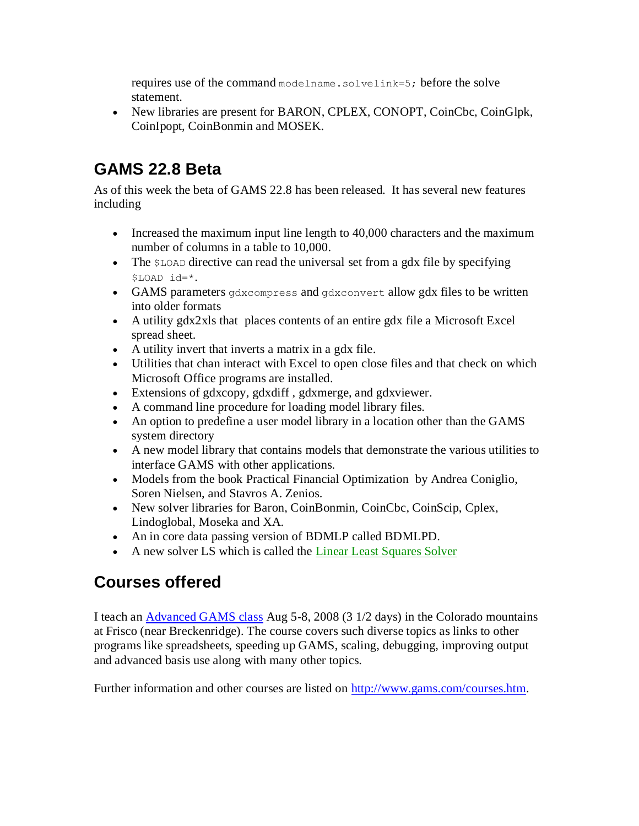requires use of the command modelname.solvelink=5; before the solve statement.

• New libraries are present for BARON, CPLEX, CONOPT, CoinCbc, CoinGlpk, CoinIpopt, CoinBonmin and MOSEK.

## **GAMS 22.8 Beta**

As of this week the beta of GAMS 22.8 has been released. It has several new features including

- Increased the maximum input line length to 40,000 characters and the maximum number of columns in a table to 10,000.
- $\bullet$  The  $$$ LOAD directive can read the universal set from a gdx file by specifying \$LOAD id=\*.
- GAMS parameters gdxcompress and gdxconvert allow gdx files to be written into older formats
- A utility gdx2xls that places contents of an entire gdx file a Microsoft Excel spread sheet.
- A utility invert that inverts a matrix in a gdx file.
- Utilities that chan interact with Excel to open close files and that check on which Microsoft Office programs are installed.
- Extensions of gdxcopy, gdxdiff , gdxmerge, and gdxviewer.
- A command line procedure for loading model library files.
- An option to predefine a user model library in a location other than the GAMS system directory
- A new model library that contains models that demonstrate the various utilities to interface GAMS with other applications.
- Models from the book Practical Financial Optimization by Andrea Coniglio, Soren Nielsen, and Stavros A. Zenios.
- New solver libraries for Baron, CoinBonmin, CoinCbc, CoinScip, Cplex, Lindoglobal, Moseka and XA.
- An in core data passing version of BDMLP called BDMLPD.
- A new solver LS which is called the [Linear Least Squares Solver](http://www.gams.com/docs/lssolver.htm)

## **Courses offered**

I teach an [Advanced GAMS class](http://www.gams.com/mccarl/advanced.htm) Aug 5-8, 2008 (3 1/2 days) in the Colorado mountains at Frisco (near Breckenridge). The course covers such diverse topics as links to other programs like spreadsheets, speeding up GAMS, scaling, debugging, improving output and advanced basis use along with many other topics.

Further information and other courses are listed on [http://www.gams.com/courses.htm.](http://www.gams.com/courses.htm)